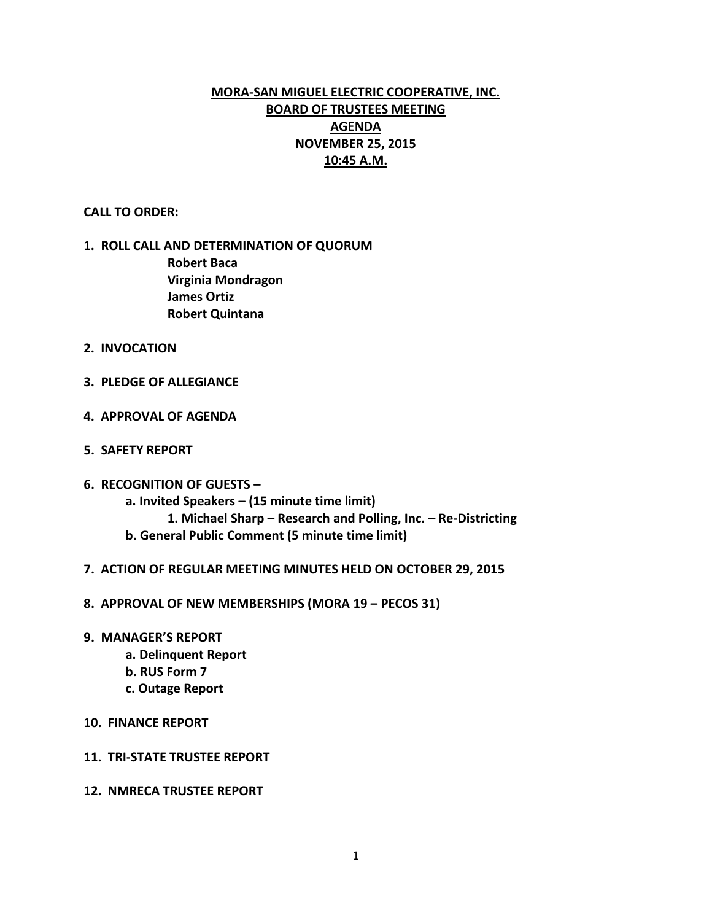# **MORA-SAN MIGUEL ELECTRIC COOPERATIVE, INC. BOARD OF TRUSTEES MEETING AGENDA NOVEMBER 25, 2015 10:45 A.M.**

**CALL TO ORDER:**

## **1. ROLL CALL AND DETERMINATION OF QUORUM Robert Baca Virginia Mondragon James Ortiz Robert Quintana**

- **2. INVOCATION**
- **3. PLEDGE OF ALLEGIANCE**
- **4. APPROVAL OF AGENDA**
- **5. SAFETY REPORT**
- **6. RECOGNITION OF GUESTS – a. Invited Speakers – (15 minute time limit)**
	- **1. Michael Sharp – Research and Polling, Inc. – Re-Districting b. General Public Comment (5 minute time limit)**
- **7. ACTION OF REGULAR MEETING MINUTES HELD ON OCTOBER 29, 2015**
- **8. APPROVAL OF NEW MEMBERSHIPS (MORA 19 – PECOS 31)**
- **9. MANAGER'S REPORT**
	- **a. Delinquent Report**
	- **b. RUS Form 7**
	- **c. Outage Report**
- **10. FINANCE REPORT**
- **11. TRI-STATE TRUSTEE REPORT**
- **12. NMRECA TRUSTEE REPORT**